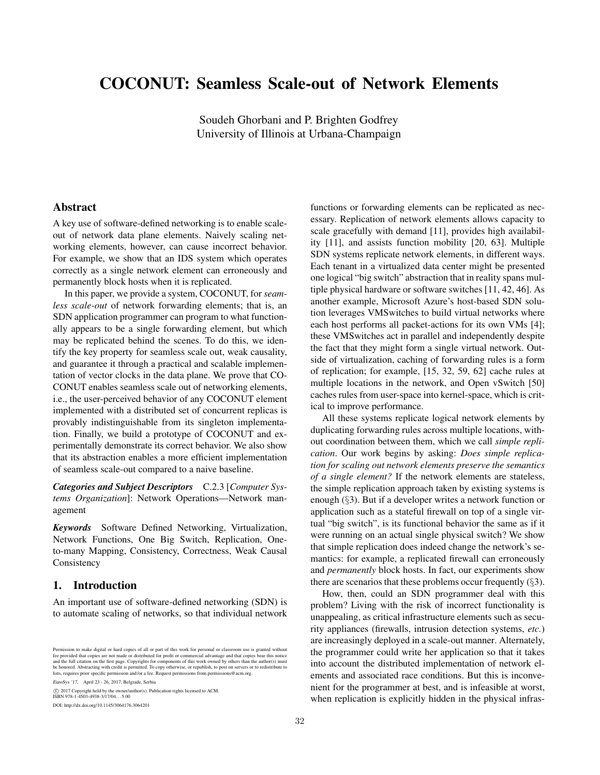# COCONUT: Seamless Scale-out of Network Elements

Soudeh Ghorbani and P. Brighten Godfrey University of Illinois at Urbana-Champaign

# Abstract

A key use of software-defined networking is to enable scaleout of network data plane elements. Naively scaling networking elements, however, can cause incorrect behavior. For example, we show that an IDS system which operates correctly as a single network element can erroneously and permanently block hosts when it is replicated.

In this paper, we provide a system, COCONUT, for *seamless scale-out* of network forwarding elements; that is, an SDN application programmer can program to what functionally appears to be a single forwarding element, but which may be replicated behind the scenes. To do this, we identify the key property for seamless scale out, weak causality, and guarantee it through a practical and scalable implementation of vector clocks in the data plane. We prove that CO-CONUT enables seamless scale out of networking elements, i.e., the user-perceived behavior of any COCONUT element implemented with a distributed set of concurrent replicas is provably indistinguishable from its singleton implementation. Finally, we build a prototype of COCONUT and experimentally demonstrate its correct behavior. We also show that its abstraction enables a more efficient implementation of seamless scale-out compared to a naive baseline.

*Categories and Subject Descriptors* C.2.3 [*Computer Systems Organization*]: Network Operations—Network management

*Keywords* Software Defined Networking, Virtualization, Network Functions, One Big Switch, Replication, Oneto-many Mapping, Consistency, Correctness, Weak Causal Consistency

# 1. Introduction

An important use of software-defined networking (SDN) is to automate scaling of networks, so that individual network

EuroSys '17, April 23 - 26, 2017, Belgrade, Serbia

c 2017 Copyright held by the owner/author(s). Publication rights licensed to ACM. ISBN 978-1-4503-4938-3/17/04. . . 5.00

DOI: http://dx.doi.org/10.1145/3064176.3064201

functions or forwarding elements can be replicated as necessary. Replication of network elements allows capacity to scale gracefully with demand [11], provides high availability [11], and assists function mobility [20, 63]. Multiple SDN systems replicate network elements, in different ways. Each tenant in a virtualized data center might be presented one logical "big switch" abstraction that in reality spans multiple physical hardware or software switches [11, 42, 46]. As another example, Microsoft Azure's host-based SDN solution leverages VMSwitches to build virtual networks where each host performs all packet-actions for its own VMs [4]; these VMSwitches act in parallel and independently despite the fact that they might form a single virtual network. Outside of virtualization, caching of forwarding rules is a form of replication; for example, [15, 32, 59, 62] cache rules at multiple locations in the network, and Open vSwitch [50] caches rules from user-space into kernel-space, which is critical to improve performance.

All these systems replicate logical network elements by duplicating forwarding rules across multiple locations, without coordination between them, which we call *simple replication*. Our work begins by asking: *Does simple replication for scaling out network elements preserve the semantics of a single element?* If the network elements are stateless, the simple replication approach taken by existing systems is enough (§3). But if a developer writes a network function or application such as a stateful firewall on top of a single virtual "big switch", is its functional behavior the same as if it were running on an actual single physical switch? We show that simple replication does indeed change the network's semantics: for example, a replicated firewall can erroneously and *permanently* block hosts. In fact, our experiments show there are scenarios that these problems occur frequently (§3).

How, then, could an SDN programmer deal with this problem? Living with the risk of incorrect functionality is unappealing, as critical infrastructure elements such as security appliances (firewalls, intrusion detection systems, *etc.*) are increasingly deployed in a scale-out manner. Alternately, the programmer could write her application so that it takes into account the distributed implementation of network elements and associated race conditions. But this is inconvenient for the programmer at best, and is infeasible at worst, when replication is explicitly hidden in the physical infras-

Permission to make digital or hard copies of all or part of this work for personal or classroom use is granted without<br>fee provided that copies are not made or distributed for profit or commercial advantage and that copies lists, requires prior specific permission and/or a fee. Request permissions from permissions@acm.org.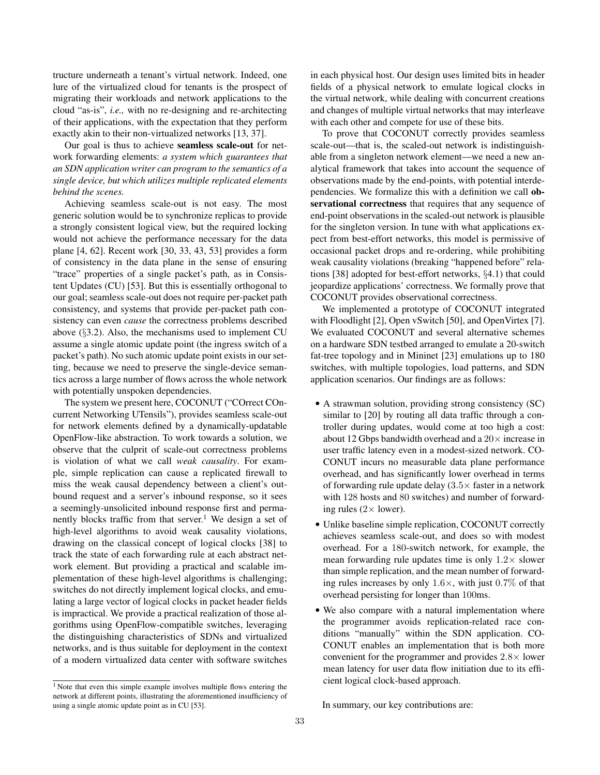tructure underneath a tenant's virtual network. Indeed, one lure of the virtualized cloud for tenants is the prospect of migrating their workloads and network applications to the cloud "as-is", *i.e.,* with no re-designing and re-architecting of their applications, with the expectation that they perform exactly akin to their non-virtualized networks [13, 37].

Our goal is thus to achieve seamless scale-out for network forwarding elements: *a system which guarantees that an SDN application writer can program to the semantics of a single device, but which utilizes multiple replicated elements behind the scenes.*

Achieving seamless scale-out is not easy. The most generic solution would be to synchronize replicas to provide a strongly consistent logical view, but the required locking would not achieve the performance necessary for the data plane [4, 62]. Recent work [30, 33, 43, 53] provides a form of consistency in the data plane in the sense of ensuring "trace" properties of a single packet's path, as in Consistent Updates (CU) [53]. But this is essentially orthogonal to our goal; seamless scale-out does not require per-packet path consistency, and systems that provide per-packet path consistency can even *cause* the correctness problems described above (§3.2). Also, the mechanisms used to implement CU assume a single atomic update point (the ingress switch of a packet's path). No such atomic update point exists in our setting, because we need to preserve the single-device semantics across a large number of flows across the whole network with potentially unspoken dependencies.

The system we present here, COCONUT ("COrrect COncurrent Networking UTensils"), provides seamless scale-out for network elements defined by a dynamically-updatable OpenFlow-like abstraction. To work towards a solution, we observe that the culprit of scale-out correctness problems is violation of what we call *weak causality*. For example, simple replication can cause a replicated firewall to miss the weak causal dependency between a client's outbound request and a server's inbound response, so it sees a seemingly-unsolicited inbound response first and permanently blocks traffic from that server.<sup>1</sup> We design a set of high-level algorithms to avoid weak causality violations, drawing on the classical concept of logical clocks [38] to track the state of each forwarding rule at each abstract network element. But providing a practical and scalable implementation of these high-level algorithms is challenging; switches do not directly implement logical clocks, and emulating a large vector of logical clocks in packet header fields is impractical. We provide a practical realization of those algorithms using OpenFlow-compatible switches, leveraging the distinguishing characteristics of SDNs and virtualized networks, and is thus suitable for deployment in the context of a modern virtualized data center with software switches in each physical host. Our design uses limited bits in header fields of a physical network to emulate logical clocks in the virtual network, while dealing with concurrent creations and changes of multiple virtual networks that may interleave with each other and compete for use of these bits.

To prove that COCONUT correctly provides seamless scale-out—that is, the scaled-out network is indistinguishable from a singleton network element—we need a new analytical framework that takes into account the sequence of observations made by the end-points, with potential interdependencies. We formalize this with a definition we call observational correctness that requires that any sequence of end-point observations in the scaled-out network is plausible for the singleton version. In tune with what applications expect from best-effort networks, this model is permissive of occasional packet drops and re-ordering, while prohibiting weak causality violations (breaking "happened before" relations [38] adopted for best-effort networks, §4.1) that could jeopardize applications' correctness. We formally prove that COCONUT provides observational correctness.

We implemented a prototype of COCONUT integrated with Floodlight [2], Open vSwitch [50], and OpenVirtex [7]. We evaluated COCONUT and several alternative schemes on a hardware SDN testbed arranged to emulate a 20-switch fat-tree topology and in Mininet [23] emulations up to 180 switches, with multiple topologies, load patterns, and SDN application scenarios. Our findings are as follows:

- A strawman solution, providing strong consistency (SC) similar to [20] by routing all data traffic through a controller during updates, would come at too high a cost: about 12 Gbps bandwidth overhead and a  $20\times$  increase in user traffic latency even in a modest-sized network. CO-CONUT incurs no measurable data plane performance overhead, and has significantly lower overhead in terms of forwarding rule update delay  $(3.5 \times$  faster in a network with 128 hosts and 80 switches) and number of forwarding rules  $(2 \times$  lower).
- Unlike baseline simple replication, COCONUT correctly achieves seamless scale-out, and does so with modest overhead. For a 180-switch network, for example, the mean forwarding rule updates time is only  $1.2 \times$  slower than simple replication, and the mean number of forwarding rules increases by only  $1.6 \times$ , with just 0.7% of that overhead persisting for longer than 100ms.
- We also compare with a natural implementation where the programmer avoids replication-related race conditions "manually" within the SDN application. CO-CONUT enables an implementation that is both more convenient for the programmer and provides  $2.8\times$  lower mean latency for user data flow initiation due to its efficient logical clock-based approach.

In summary, our key contributions are:

<sup>&</sup>lt;sup>1</sup> Note that even this simple example involves multiple flows entering the network at different points, illustrating the aforementioned insufficiency of using a single atomic update point as in CU [53].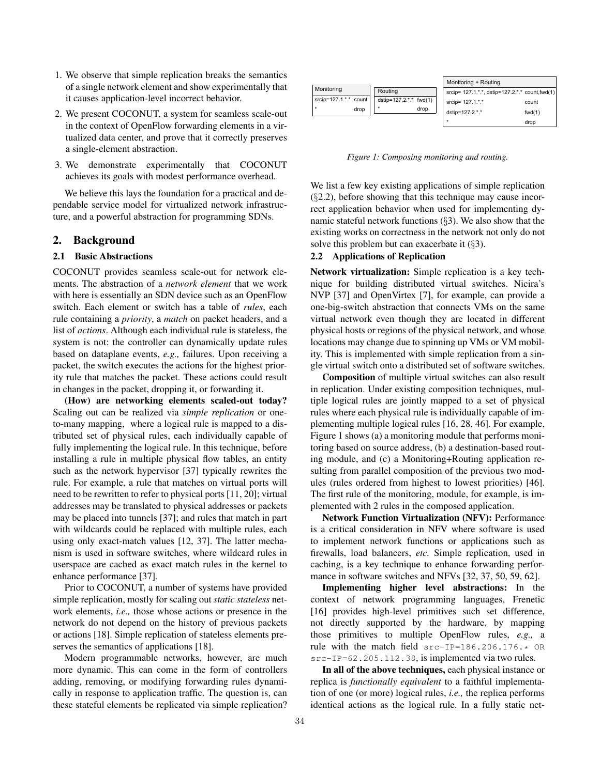- 1. We observe that simple replication breaks the semantics of a single network element and show experimentally that it causes application-level incorrect behavior.
- 2. We present COCONUT, a system for seamless scale-out in the context of OpenFlow forwarding elements in a virtualized data center, and prove that it correctly preserves a single-element abstraction.
- 3. We demonstrate experimentally that COCONUT achieves its goals with modest performance overhead.

We believe this lays the foundation for a practical and dependable service model for virtualized network infrastructure, and a powerful abstraction for programming SDNs.

#### 2. Background

#### 2.1 Basic Abstractions

COCONUT provides seamless scale-out for network elements. The abstraction of a *network element* that we work with here is essentially an SDN device such as an OpenFlow switch. Each element or switch has a table of *rules*, each rule containing a *priority*, a *match* on packet headers, and a list of *actions*. Although each individual rule is stateless, the system is not: the controller can dynamically update rules based on dataplane events, *e.g.,* failures. Upon receiving a packet, the switch executes the actions for the highest priority rule that matches the packet. These actions could result in changes in the packet, dropping it, or forwarding it.

(How) are networking elements scaled-out today? Scaling out can be realized via *simple replication* or oneto-many mapping, where a logical rule is mapped to a distributed set of physical rules, each individually capable of fully implementing the logical rule. In this technique, before installing a rule in multiple physical flow tables, an entity such as the network hypervisor [37] typically rewrites the rule. For example, a rule that matches on virtual ports will need to be rewritten to refer to physical ports [11, 20]; virtual addresses may be translated to physical addresses or packets may be placed into tunnels [37]; and rules that match in part with wildcards could be replaced with multiple rules, each using only exact-match values [12, 37]. The latter mechanism is used in software switches, where wildcard rules in userspace are cached as exact match rules in the kernel to enhance performance [37].

Prior to COCONUT, a number of systems have provided simple replication, mostly for scaling out *static stateless* network elements, *i.e.,* those whose actions or presence in the network do not depend on the history of previous packets or actions [18]. Simple replication of stateless elements preserves the semantics of applications [18].

Modern programmable networks, however, are much more dynamic. This can come in the form of controllers adding, removing, or modifying forwarding rules dynamically in response to application traffic. The question is, can these stateful elements be replicated via simple replication?

|                          |                           | Monitoring + Routing                            |  |  |
|--------------------------|---------------------------|-------------------------------------------------|--|--|
| Monitoring               | Routing                   | srcip= 127.1.*.*, dstip=127.2.*.* count, fwd(1) |  |  |
| srcip= $127.1.*.*$ count | dstip=127.2. $*$ , fwd(1) | srcip= 127.1.*.*<br>count                       |  |  |
| drop                     | drop                      | dstip=127.2.*.*<br>fwd(1)                       |  |  |
|                          |                           | drop                                            |  |  |

*Figure 1: Composing monitoring and routing.*

We list a few key existing applications of simple replication  $(\S2.2)$ , before showing that this technique may cause incorrect application behavior when used for implementing dynamic stateful network functions (§3). We also show that the existing works on correctness in the network not only do not solve this problem but can exacerbate it  $(\S 3)$ .

### 2.2 Applications of Replication

Network virtualization: Simple replication is a key technique for building distributed virtual switches. Nicira's NVP [37] and OpenVirtex [7], for example, can provide a one-big-switch abstraction that connects VMs on the same virtual network even though they are located in different physical hosts or regions of the physical network, and whose locations may change due to spinning up VMs or VM mobility. This is implemented with simple replication from a single virtual switch onto a distributed set of software switches.

Composition of multiple virtual switches can also result in replication. Under existing composition techniques, multiple logical rules are jointly mapped to a set of physical rules where each physical rule is individually capable of implementing multiple logical rules [16, 28, 46]. For example, Figure 1 shows (a) a monitoring module that performs monitoring based on source address, (b) a destination-based routing module, and (c) a Monitoring+Routing application resulting from parallel composition of the previous two modules (rules ordered from highest to lowest priorities) [46]. The first rule of the monitoring, module, for example, is implemented with 2 rules in the composed application.

Network Function Virtualization (NFV): Performance is a critical consideration in NFV where software is used to implement network functions or applications such as firewalls, load balancers, *etc.* Simple replication, used in caching, is a key technique to enhance forwarding performance in software switches and NFVs [32, 37, 50, 59, 62].

Implementing higher level abstractions: In the context of network programming languages, Frenetic [16] provides high-level primitives such set difference, not directly supported by the hardware, by mapping those primitives to multiple OpenFlow rules, *e.g.,* a rule with the match field src-IP=186.206.176.\* OR src-IP=62.205.112.38, is implemented via two rules.

In all of the above techniques, each physical instance or replica is *functionally equivalent* to a faithful implementation of one (or more) logical rules, *i.e.,* the replica performs identical actions as the logical rule. In a fully static net-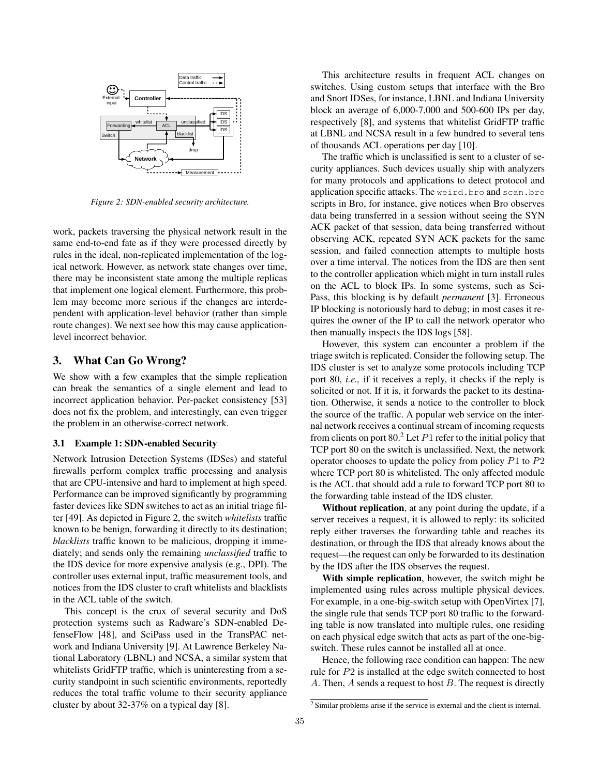

*Figure 2: SDN-enabled security architecture.*

work, packets traversing the physical network result in the same end-to-end fate as if they were processed directly by rules in the ideal, non-replicated implementation of the logical network. However, as network state changes over time, there may be inconsistent state among the multiple replicas that implement one logical element. Furthermore, this problem may become more serious if the changes are interdependent with application-level behavior (rather than simple route changes). We next see how this may cause applicationlevel incorrect behavior.

# 3. What Can Go Wrong?

We show with a few examples that the simple replication can break the semantics of a single element and lead to incorrect application behavior. Per-packet consistency [53] does not fix the problem, and interestingly, can even trigger the problem in an otherwise-correct network.

#### 3.1 Example 1: SDN-enabled Security

Network Intrusion Detection Systems (IDSes) and stateful firewalls perform complex traffic processing and analysis that are CPU-intensive and hard to implement at high speed. Performance can be improved significantly by programming faster devices like SDN switches to act as an initial triage filter [49]. As depicted in Figure 2, the switch *whitelists* traffic known to be benign, forwarding it directly to its destination; *blacklists* traffic known to be malicious, dropping it immediately; and sends only the remaining *unclassified* traffic to the IDS device for more expensive analysis (e.g., DPI). The controller uses external input, traffic measurement tools, and notices from the IDS cluster to craft whitelists and blacklists in the ACL table of the switch.

This concept is the crux of several security and DoS protection systems such as Radware's SDN-enabled DefenseFlow [48], and SciPass used in the TransPAC network and Indiana University [9]. At Lawrence Berkeley National Laboratory (LBNL) and NCSA, a similar system that whitelists GridFTP traffic, which is uninteresting from a security standpoint in such scientific environments, reportedly reduces the total traffic volume to their security appliance cluster by about 32-37% on a typical day [8].

This architecture results in frequent ACL changes on switches. Using custom setups that interface with the Bro and Snort IDSes, for instance, LBNL and Indiana University block an average of 6,000-7,000 and 500-600 IPs per day, respectively [8], and systems that whitelist GridFTP traffic at LBNL and NCSA result in a few hundred to several tens of thousands ACL operations per day [10].

The traffic which is unclassified is sent to a cluster of security appliances. Such devices usually ship with analyzers for many protocols and applications to detect protocol and application specific attacks. The weird.bro and scan.bro scripts in Bro, for instance, give notices when Bro observes data being transferred in a session without seeing the SYN ACK packet of that session, data being transferred without observing ACK, repeated SYN ACK packets for the same session, and failed connection attempts to multiple hosts over a time interval. The notices from the IDS are then sent to the controller application which might in turn install rules on the ACL to block IPs. In some systems, such as Sci-Pass, this blocking is by default *permanent* [3]. Erroneous IP blocking is notoriously hard to debug; in most cases it requires the owner of the IP to call the network operator who then manually inspects the IDS logs [58].

However, this system can encounter a problem if the triage switch is replicated. Consider the following setup. The IDS cluster is set to analyze some protocols including TCP port 80, *i.e.,* if it receives a reply, it checks if the reply is solicited or not. If it is, it forwards the packet to its destination. Otherwise, it sends a notice to the controller to block the source of the traffic. A popular web service on the internal network receives a continual stream of incoming requests from clients on port  $80<sup>2</sup>$  Let P1 refer to the initial policy that TCP port 80 on the switch is unclassified. Next, the network operator chooses to update the policy from policy P1 to P2 where TCP port 80 is whitelisted. The only affected module is the ACL that should add a rule to forward TCP port 80 to the forwarding table instead of the IDS cluster.

Without replication, at any point during the update, if a server receives a request, it is allowed to reply: its solicited reply either traverses the forwarding table and reaches its destination, or through the IDS that already knows about the request—the request can only be forwarded to its destination by the IDS after the IDS observes the request.

With simple replication, however, the switch might be implemented using rules across multiple physical devices. For example, in a one-big-switch setup with OpenVirtex [7], the single rule that sends TCP port 80 traffic to the forwarding table is now translated into multiple rules, one residing on each physical edge switch that acts as part of the one-bigswitch. These rules cannot be installed all at once.

Hence, the following race condition can happen: The new rule for P2 is installed at the edge switch connected to host A. Then, A sends a request to host B. The request is directly

<sup>2</sup> Similar problems arise if the service is external and the client is internal.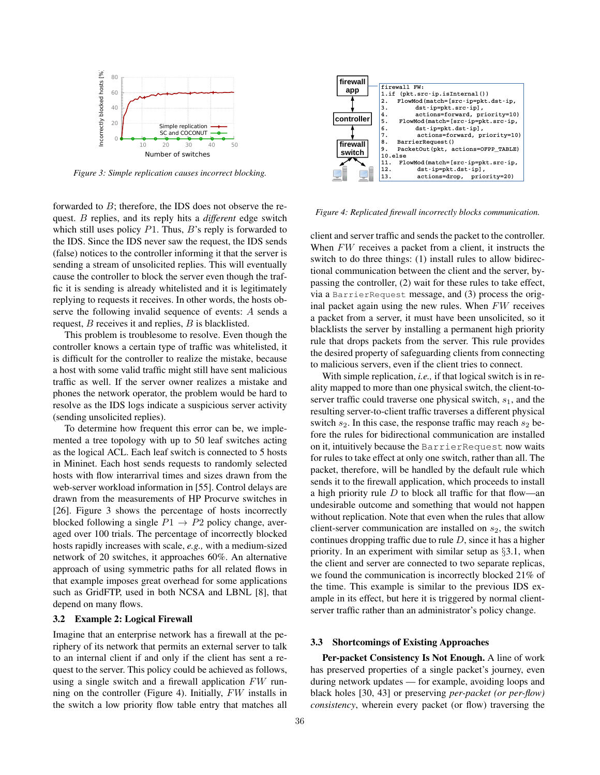

*Figure 3: Simple replication causes incorrect blocking.*

forwarded to B; therefore, the IDS does not observe the request. B replies, and its reply hits a *different* edge switch which still uses policy  $P1$ . Thus,  $B$ 's reply is forwarded to the IDS. Since the IDS never saw the request, the IDS sends (false) notices to the controller informing it that the server is sending a stream of unsolicited replies. This will eventually cause the controller to block the server even though the traffic it is sending is already whitelisted and it is legitimately replying to requests it receives. In other words, the hosts observe the following invalid sequence of events: A sends a request, B receives it and replies, B is blacklisted.

This problem is troublesome to resolve. Even though the controller knows a certain type of traffic was whitelisted, it is difficult for the controller to realize the mistake, because a host with some valid traffic might still have sent malicious traffic as well. If the server owner realizes a mistake and phones the network operator, the problem would be hard to resolve as the IDS logs indicate a suspicious server activity (sending unsolicited replies).

To determine how frequent this error can be, we implemented a tree topology with up to 50 leaf switches acting as the logical ACL. Each leaf switch is connected to 5 hosts in Mininet. Each host sends requests to randomly selected hosts with flow interarrival times and sizes drawn from the web-server workload information in [55]. Control delays are drawn from the measurements of HP Procurve switches in [26]. Figure 3 shows the percentage of hosts incorrectly blocked following a single  $P1 \rightarrow P2$  policy change, averaged over 100 trials. The percentage of incorrectly blocked hosts rapidly increases with scale, *e.g.,* with a medium-sized network of 20 switches, it approaches 60%. An alternative approach of using symmetric paths for all related flows in that example imposes great overhead for some applications such as GridFTP, used in both NCSA and LBNL [8], that depend on many flows.

#### 3.2 Example 2: Logical Firewall

Imagine that an enterprise network has a firewall at the periphery of its network that permits an external server to talk to an internal client if and only if the client has sent a request to the server. This policy could be achieved as follows, using a single switch and a firewall application  $FW$  running on the controller (Figure 4). Initially, FW installs in the switch a low priority flow table entry that matches all



*Figure 4: Replicated firewall incorrectly blocks communication.*

client and server traffic and sends the packet to the controller. When FW receives a packet from a client, it instructs the switch to do three things: (1) install rules to allow bidirectional communication between the client and the server, bypassing the controller, (2) wait for these rules to take effect, via a BarrierRequest message, and (3) process the original packet again using the new rules. When FW receives a packet from a server, it must have been unsolicited, so it blacklists the server by installing a permanent high priority rule that drops packets from the server. This rule provides the desired property of safeguarding clients from connecting to malicious servers, even if the client tries to connect.

With simple replication, *i.e.,* if that logical switch is in reality mapped to more than one physical switch, the client-toserver traffic could traverse one physical switch,  $s<sub>1</sub>$ , and the resulting server-to-client traffic traverses a different physical switch  $s_2$ . In this case, the response traffic may reach  $s_2$  before the rules for bidirectional communication are installed on it, intuitively because the BarrierRequest now waits for rules to take effect at only one switch, rather than all. The packet, therefore, will be handled by the default rule which sends it to the firewall application, which proceeds to install a high priority rule  $D$  to block all traffic for that flow—an undesirable outcome and something that would not happen without replication. Note that even when the rules that allow client-server communication are installed on  $s_2$ , the switch continues dropping traffic due to rule  $D$ , since it has a higher priority. In an experiment with similar setup as §3.1, when the client and server are connected to two separate replicas, we found the communication is incorrectly blocked 21% of the time. This example is similar to the previous IDS example in its effect, but here it is triggered by normal clientserver traffic rather than an administrator's policy change.

#### 3.3 Shortcomings of Existing Approaches

Per-packet Consistency Is Not Enough. A line of work has preserved properties of a single packet's journey, even during network updates — for example, avoiding loops and black holes [30, 43] or preserving *per-packet (or per-flow) consistency*, wherein every packet (or flow) traversing the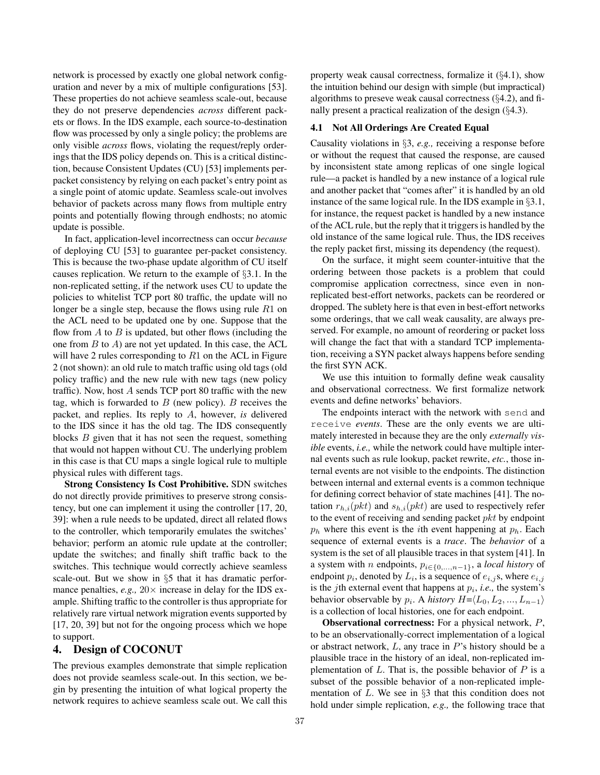network is processed by exactly one global network configuration and never by a mix of multiple configurations [53]. These properties do not achieve seamless scale-out, because they do not preserve dependencies *across* different packets or flows. In the IDS example, each source-to-destination flow was processed by only a single policy; the problems are only visible *across* flows, violating the request/reply orderings that the IDS policy depends on. This is a critical distinction, because Consistent Updates (CU) [53] implements perpacket consistency by relying on each packet's entry point as a single point of atomic update. Seamless scale-out involves behavior of packets across many flows from multiple entry points and potentially flowing through endhosts; no atomic update is possible.

In fact, application-level incorrectness can occur *because* of deploying CU [53] to guarantee per-packet consistency. This is because the two-phase update algorithm of CU itself causes replication. We return to the example of §3.1. In the non-replicated setting, if the network uses CU to update the policies to whitelist TCP port 80 traffic, the update will no longer be a single step, because the flows using rule  $R1$  on the ACL need to be updated one by one. Suppose that the flow from  $A$  to  $B$  is updated, but other flows (including the one from  $B$  to  $A$ ) are not yet updated. In this case, the ACL will have 2 rules corresponding to  $R1$  on the ACL in Figure 2 (not shown): an old rule to match traffic using old tags (old policy traffic) and the new rule with new tags (new policy traffic). Now, host A sends TCP port 80 traffic with the new tag, which is forwarded to  $B$  (new policy).  $B$  receives the packet, and replies. Its reply to A, however, *is* delivered to the IDS since it has the old tag. The IDS consequently blocks  $B$  given that it has not seen the request, something that would not happen without CU. The underlying problem in this case is that CU maps a single logical rule to multiple physical rules with different tags.

Strong Consistency Is Cost Prohibitive. SDN switches do not directly provide primitives to preserve strong consistency, but one can implement it using the controller [17, 20, 39]: when a rule needs to be updated, direct all related flows to the controller, which temporarily emulates the switches' behavior; perform an atomic rule update at the controller; update the switches; and finally shift traffic back to the switches. This technique would correctly achieve seamless scale-out. But we show in  $\S5$  that it has dramatic performance penalties,  $e.g., 20 \times$  increase in delay for the IDS example. Shifting traffic to the controller is thus appropriate for relatively rare virtual network migration events supported by [17, 20, 39] but not for the ongoing process which we hope to support.

## 4. Design of COCONUT

The previous examples demonstrate that simple replication does not provide seamless scale-out. In this section, we begin by presenting the intuition of what logical property the network requires to achieve seamless scale out. We call this

#### 4.1 Not All Orderings Are Created Equal

Causality violations in §3, *e.g.,* receiving a response before or without the request that caused the response, are caused by inconsistent state among replicas of one single logical rule—a packet is handled by a new instance of a logical rule and another packet that "comes after" it is handled by an old instance of the same logical rule. In the IDS example in §3.1, for instance, the request packet is handled by a new instance of the ACL rule, but the reply that it triggers is handled by the old instance of the same logical rule. Thus, the IDS receives the reply packet first, missing its dependency (the request).

On the surface, it might seem counter-intuitive that the ordering between those packets is a problem that could compromise application correctness, since even in nonreplicated best-effort networks, packets can be reordered or dropped. The sublety here is that even in best-effort networks some orderings, that we call weak causality, are always preserved. For example, no amount of reordering or packet loss will change the fact that with a standard TCP implementation, receiving a SYN packet always happens before sending the first SYN ACK.

We use this intuition to formally define weak causality and observational correctness. We first formalize network events and define networks' behaviors.

The endpoints interact with the network with send and receive *events*. These are the only events we are ultimately interested in because they are the only *externally visible* events, *i.e.,* while the network could have multiple internal events such as rule lookup, packet rewrite, *etc.*, those internal events are not visible to the endpoints. The distinction between internal and external events is a common technique for defining correct behavior of state machines [41]. The notation  $r_{h,i}(pkt)$  and  $s_{h,i}(pkt)$  are used to respectively refer to the event of receiving and sending packet  *by endpoint*  $p_h$  where this event is the *i*th event happening at  $p_h$ . Each sequence of external events is a *trace*. The *behavior* of a system is the set of all plausible traces in that system [41]. In a system with n endpoints, pi∈{0,...,n−1}, a *local history* of endpoint  $p_i$ , denoted by  $L_i$ , is a sequence of  $e_{i,j}$ s, where  $e_{i,j}$ is the *j*th external event that happens at  $p_i$ , *i.e.*, the system's behavior observable by  $p_i$ . A *history*  $H = \langle L_0, L_2, ..., L_{n-1} \rangle$ is a collection of local histories, one for each endpoint.

Observational correctness: For a physical network, P, to be an observationally-correct implementation of a logical or abstract network,  $L$ , any trace in  $P$ 's history should be a plausible trace in the history of an ideal, non-replicated implementation of  $L$ . That is, the possible behavior of  $P$  is a subset of the possible behavior of a non-replicated implementation of  $L$ . We see in §3 that this condition does not hold under simple replication, *e.g.,* the following trace that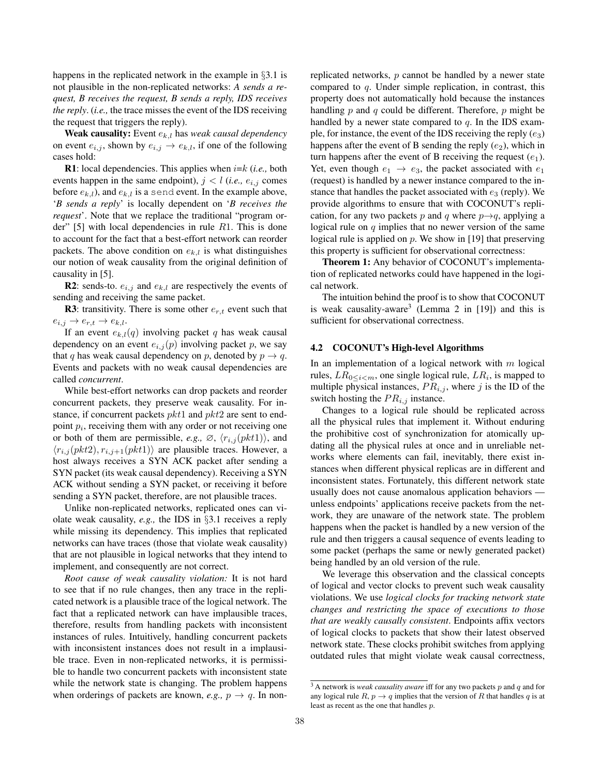happens in the replicated network in the example in §3.1 is not plausible in the non-replicated networks: *A sends a request, B receives the request, B sends a reply, IDS receives the reply*. (*i.e.,* the trace misses the event of the IDS receiving the request that triggers the reply).

Weak causality: Event  $e_{k,l}$  has *weak causal dependency* on event  $e_{i,j}$ , shown by  $e_{i,j} \rightarrow e_{k,l}$ , if one of the following cases hold:

R1: local dependencies. This applies when i=k (*i.e.,* both events happen in the same endpoint),  $j < l$  (*i.e.*,  $e_{i,j}$  comes before  $e_{k,l}$ ), and  $e_{k,l}$  is a send event. In the example above, '*B sends a reply*' is locally dependent on '*B receives the request*'. Note that we replace the traditional "program order" [5] with local dependencies in rule R1. This is done to account for the fact that a best-effort network can reorder packets. The above condition on  $e_{k,l}$  is what distinguishes our notion of weak causality from the original definition of causality in [5].

**R2**: sends-to.  $e_{i,j}$  and  $e_{k,l}$  are respectively the events of sending and receiving the same packet.

**R3**: transitivity. There is some other  $e_{r,t}$  event such that  $e_{i,j} \rightarrow e_{r,t} \rightarrow e_{k,l}.$ 

If an event  $e_{k,l}(q)$  involving packet q has weak causal dependency on an event  $e_{i,j}(p)$  involving packet p, we say that q has weak causal dependency on p, denoted by  $p \rightarrow q$ . Events and packets with no weak causal dependencies are called *concurrent*.

While best-effort networks can drop packets and reorder concurrent packets, they preserve weak causality. For instance, if concurrent packets  $pkt1$  and  $pkt2$  are sent to endpoint  $p_i$ , receiving them with any order or not receiving one or both of them are permissible, *e.g.*,  $\varnothing$ ,  $\langle r_{i,j} (pkt1) \rangle$ , and  $\langle r_{i,j}(pkt2), r_{i,j+1}(pkt1) \rangle$  are plausible traces. However, a host always receives a SYN ACK packet after sending a SYN packet (its weak causal dependency). Receiving a SYN ACK without sending a SYN packet, or receiving it before sending a SYN packet, therefore, are not plausible traces.

Unlike non-replicated networks, replicated ones can violate weak causality, *e.g.,* the IDS in §3.1 receives a reply while missing its dependency. This implies that replicated networks can have traces (those that violate weak causality) that are not plausible in logical networks that they intend to implement, and consequently are not correct.

*Root cause of weak causality violation:* It is not hard to see that if no rule changes, then any trace in the replicated network is a plausible trace of the logical network. The fact that a replicated network can have implausible traces, therefore, results from handling packets with inconsistent instances of rules. Intuitively, handling concurrent packets with inconsistent instances does not result in a implausible trace. Even in non-replicated networks, it is permissible to handle two concurrent packets with inconsistent state while the network state is changing. The problem happens when orderings of packets are known, *e.g.*,  $p \rightarrow q$ . In nonreplicated networks, p cannot be handled by a newer state compared to q. Under simple replication, in contrast, this property does not automatically hold because the instances handling  $p$  and  $q$  could be different. Therefore,  $p$  might be handled by a newer state compared to  $q$ . In the IDS example, for instance, the event of the IDS receiving the reply  $(e_3)$ happens after the event of B sending the reply  $(e_2)$ , which in turn happens after the event of B receiving the request  $(e_1)$ . Yet, even though  $e_1 \rightarrow e_3$ , the packet associated with  $e_1$ (request) is handled by a newer instance compared to the instance that handles the packet associated with  $e_3$  (reply). We provide algorithms to ensure that with COCONUT's replication, for any two packets p and q where  $p \rightarrow q$ , applying a logical rule on  $q$  implies that no newer version of the same logical rule is applied on  $p$ . We show in [19] that preserving this property is sufficient for observational correctness:

Theorem 1: Any behavior of COCONUT's implementation of replicated networks could have happened in the logical network.

The intuition behind the proof is to show that COCONUT is weak causality-aware<sup>3</sup> (Lemma 2 in [19]) and this is sufficient for observational correctness.

#### 4.2 COCONUT's High-level Algorithms

In an implementation of a logical network with  $m$  logical rules,  $LR_{0 \le i \le m}$ , one single logical rule,  $LR_i$ , is mapped to multiple physical instances,  $PR_{i,j}$ , where j is the ID of the switch hosting the  $PR_{i,j}$  instance.

Changes to a logical rule should be replicated across all the physical rules that implement it. Without enduring the prohibitive cost of synchronization for atomically updating all the physical rules at once and in unreliable networks where elements can fail, inevitably, there exist instances when different physical replicas are in different and inconsistent states. Fortunately, this different network state usually does not cause anomalous application behaviors unless endpoints' applications receive packets from the network, they are unaware of the network state. The problem happens when the packet is handled by a new version of the rule and then triggers a causal sequence of events leading to some packet (perhaps the same or newly generated packet) being handled by an old version of the rule.

We leverage this observation and the classical concepts of logical and vector clocks to prevent such weak causality violations. We use *logical clocks for tracking network state changes and restricting the space of executions to those that are weakly causally consistent*. Endpoints affix vectors of logical clocks to packets that show their latest observed network state. These clocks prohibit switches from applying outdated rules that might violate weak causal correctness,

<sup>3</sup> A network is *weak causality aware* iff for any two packets p and q and for any logical rule  $R$ ,  $p \rightarrow q$  implies that the version of R that handles q is at least as recent as the one that handles p.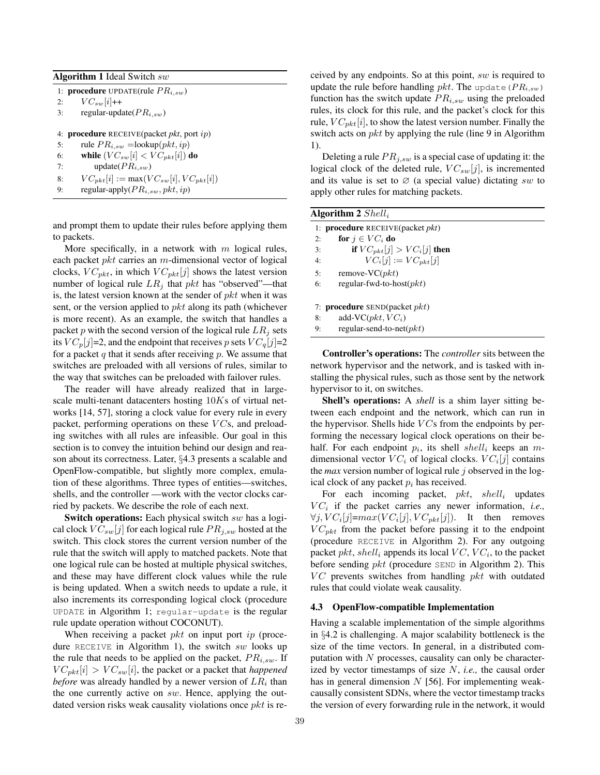| <b>Algorithm 1</b> Ideal Switch $sw$          |                                                                     |  |  |
|-----------------------------------------------|---------------------------------------------------------------------|--|--|
| 1: <b>procedure</b> UPDATE(rule $PR_{i,sw}$ ) |                                                                     |  |  |
| 2:                                            | $VC_{sw}[i]++$                                                      |  |  |
| 3:                                            | regular-update $(PR_{i,sw})$                                        |  |  |
|                                               | 4: <b>procedure</b> RECEIVE(packet <i>pkt</i> , port <i>ip</i> )    |  |  |
| 5:                                            | rule $PR_{i,sw} = \text{lookup}(pkt, ip)$                           |  |  |
| 6:                                            | while $(VC_{sw}[i] < VC_{nkt}[i])$ do                               |  |  |
| 7:                                            | update $(PR_{i,sw})$                                                |  |  |
| 8:                                            | $VC_{\text{okt}}[i] := \max(VC_{\text{sw}}[i], VC_{\text{okt}}[i])$ |  |  |
| 9:                                            | regular-apply( $PR_{i,sw}, pkt, ip$ )                               |  |  |

and prompt them to update their rules before applying them to packets.

More specifically, in a network with  $m$  logical rules, each packet pkt carries an m-dimensional vector of logical clocks,  $VC_{pkt}$ , in which  $VC_{pkt}[j]$  shows the latest version number of logical rule  $LR_j$  that pkt has "observed"—that is, the latest version known at the sender of  $pkt$  when it was sent, or the version applied to *pkt* along its path (whichever is more recent). As an example, the switch that handles a packet p with the second version of the logical rule  $LR_j$  sets its  $VC_p[j]=2$ , and the endpoint that receives p sets  $VC_q[j]=2$ for a packet  $q$  that it sends after receiving  $p$ . We assume that switches are preloaded with all versions of rules, similar to the way that switches can be preloaded with failover rules.

The reader will have already realized that in largescale multi-tenant datacenters hosting  $10Ks$  of virtual networks [14, 57], storing a clock value for every rule in every packet, performing operations on these  $VCs$ , and preloading switches with all rules are infeasible. Our goal in this section is to convey the intuition behind our design and reason about its correctness. Later, §4.3 presents a scalable and OpenFlow-compatible, but slightly more complex, emulation of these algorithms. Three types of entities—switches, shells, and the controller —work with the vector clocks carried by packets. We describe the role of each next.

Switch operations: Each physical switch sw has a logical clock  $VC_{sw}[j]$  for each logical rule  $PR_{j,sw}$  hosted at the switch. This clock stores the current version number of the rule that the switch will apply to matched packets. Note that one logical rule can be hosted at multiple physical switches, and these may have different clock values while the rule is being updated. When a switch needs to update a rule, it also increments its corresponding logical clock (procedure UPDATE in Algorithm 1; regular-update is the regular rule update operation without COCONUT).

When receiving a packet  *on input port*  $*ip*$  *(proce*dure RECEIVE in Algorithm 1), the switch  $sw$  looks up the rule that needs to be applied on the packet,  $PR_{i,sw}$ . If  $VC_{pkt}[i] > VC_{sw}[i]$ , the packet or a packet that *happened before* was already handled by a newer version of  $LR<sub>i</sub>$  than the one currently active on sw. Hence, applying the outdated version risks weak causality violations once pkt is received by any endpoints. So at this point, sw is required to update the rule before handling *pkt*. The update ( $PR_{i,sw}$ ) function has the switch update  $PR_{i,sw}$  using the preloaded rules, its clock for this rule, and the packet's clock for this rule,  $VC_{pkt}[i]$ , to show the latest version number. Finally the switch acts on  *by applying the rule (line 9 in Algorithm* 1).

Deleting a rule  $PR_{j,sw}$  is a special case of updating it: the logical clock of the deleted rule,  $VC_{sw}[j]$ , is incremented and its value is set to  $\varnothing$  (a special value) dictating sw to apply other rules for matching packets.

| Algorithm $2 Shell_i$ |  |  |  |
|-----------------------|--|--|--|
|-----------------------|--|--|--|

|    | 1: <b>procedure</b> RECEIVE(packet <i>pkt</i> )                     |
|----|---------------------------------------------------------------------|
| 2: | for $i \in VC_i$ do                                                 |
| 3: | if $VC_{\text{pkt}}[j] > VC_i[j]$ then                              |
| 4: | $VC_i[j] := VC_{pkt}[j]$                                            |
| 5: | remove-VC $(\rho k t)$                                              |
| 6: | regular-fwd-to-host $(\rho k t)$                                    |
|    |                                                                     |
|    | 7: <b>procedure</b> SEND(packet $pkt$ )                             |
| 8: | add-VC $(\textit{pkt}, \textit{VC}_i)$                              |
| 9: | regular-send-to-net( $pkt$ )                                        |
|    |                                                                     |
|    | <b>Controller's operations:</b> The <i>controller</i><br>$\sim$ 11. |

sits between the network hypervisor and the network, and is tasked with installing the physical rules, such as those sent by the network hypervisor to it, on switches.

Shell's operations: A *shell* is a shim layer sitting between each endpoint and the network, which can run in the hypervisor. Shells hide  $VCs$  from the endpoints by performing the necessary logical clock operations on their behalf. For each endpoint  $p_i$ , its shell shell<sub>i</sub> keeps an mdimensional vector  $VC_i$  of logical clocks.  $VC_i[j]$  contains the *max* version number of logical rule j observed in the logical clock of any packet  $p_i$  has received.

For each incoming packet,  $pkt$ ,  $shell_i$  updates  $VC_i$  if the packet carries any newer information, *i.e.*,  $\forall j, VC_i[j] = max(VC_i[j], VC_{pkt}[j]).$  It then removes  $VC<sub>plt</sub>$  from the packet before passing it to the endpoint (procedure RECEIVE in Algorithm 2). For any outgoing packet *pkt*, shell<sub>i</sub> appends its local  $VC$ ,  $VC_i$ , to the packet before sending  $pkt$  (procedure SEND in Algorithm 2). This  $VC$  prevents switches from handling  $pkt$  with outdated rules that could violate weak causality.

#### 4.3 OpenFlow-compatible Implementation

Having a scalable implementation of the simple algorithms in §4.2 is challenging. A major scalability bottleneck is the size of the time vectors. In general, in a distributed computation with  $N$  processes, causality can only be characterized by vector timestamps of size N, *i.e.,* the causal order has in general dimension  $N$  [56]. For implementing weakcausally consistent SDNs, where the vector timestamp tracks the version of every forwarding rule in the network, it would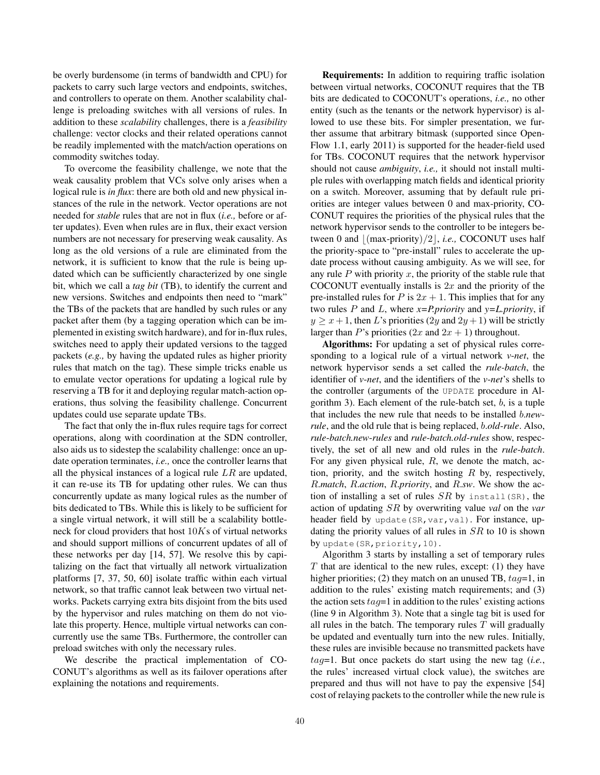be overly burdensome (in terms of bandwidth and CPU) for packets to carry such large vectors and endpoints, switches, and controllers to operate on them. Another scalability challenge is preloading switches with all versions of rules. In addition to these *scalability* challenges, there is a *feasibility* challenge: vector clocks and their related operations cannot be readily implemented with the match/action operations on commodity switches today.

To overcome the feasibility challenge, we note that the weak causality problem that VCs solve only arises when a logical rule is *in flux*: there are both old and new physical instances of the rule in the network. Vector operations are not needed for *stable* rules that are not in flux (*i.e.,* before or after updates). Even when rules are in flux, their exact version numbers are not necessary for preserving weak causality. As long as the old versions of a rule are eliminated from the network, it is sufficient to know that the rule is being updated which can be sufficiently characterized by one single bit, which we call a *tag bit* (TB), to identify the current and new versions. Switches and endpoints then need to "mark" the TBs of the packets that are handled by such rules or any packet after them (by a tagging operation which can be implemented in existing switch hardware), and for in-flux rules, switches need to apply their updated versions to the tagged packets (*e.g.,* by having the updated rules as higher priority rules that match on the tag). These simple tricks enable us to emulate vector operations for updating a logical rule by reserving a TB for it and deploying regular match-action operations, thus solving the feasibility challenge. Concurrent updates could use separate update TBs.

The fact that only the in-flux rules require tags for correct operations, along with coordination at the SDN controller, also aids us to sidestep the scalability challenge: once an update operation terminates, *i.e.,* once the controller learns that all the physical instances of a logical rule  $LR$  are updated, it can re-use its TB for updating other rules. We can thus concurrently update as many logical rules as the number of bits dedicated to TBs. While this is likely to be sufficient for a single virtual network, it will still be a scalability bottleneck for cloud providers that host  $10Ks$  of virtual networks and should support millions of concurrent updates of all of these networks per day [14, 57]. We resolve this by capitalizing on the fact that virtually all network virtualization platforms [7, 37, 50, 60] isolate traffic within each virtual network, so that traffic cannot leak between two virtual networks. Packets carrying extra bits disjoint from the bits used by the hypervisor and rules matching on them do not violate this property. Hence, multiple virtual networks can concurrently use the same TBs. Furthermore, the controller can preload switches with only the necessary rules.

We describe the practical implementation of CO-CONUT's algorithms as well as its failover operations after explaining the notations and requirements.

Requirements: In addition to requiring traffic isolation between virtual networks, COCONUT requires that the TB bits are dedicated to COCONUT's operations, *i.e.,* no other entity (such as the tenants or the network hypervisor) is allowed to use these bits. For simpler presentation, we further assume that arbitrary bitmask (supported since Open-Flow 1.1, early 2011) is supported for the header-field used for TBs. COCONUT requires that the network hypervisor should not cause *ambiguity*, *i.e.,* it should not install multiple rules with overlapping match fields and identical priority on a switch. Moreover, assuming that by default rule priorities are integer values between 0 and max-priority, CO-CONUT requires the priorities of the physical rules that the network hypervisor sends to the controller to be integers between 0 and  $(max-priority)/2$ , *i.e.*, COCONUT uses half the priority-space to "pre-install" rules to accelerate the update process without causing ambiguity. As we will see, for any rule  $P$  with priority  $x$ , the priority of the stable rule that COCONUT eventually installs is  $2x$  and the priority of the pre-installed rules for P is  $2x + 1$ . This implies that for any two rules P and L, where *x=P.priority* and *y=L.priority*, if  $y \geq x+1$ , then L's priorities (2y and 2y + 1) will be strictly larger than P's priorities  $(2x \text{ and } 2x + 1)$  throughout.

Algorithms: For updating a set of physical rules corresponding to a logical rule of a virtual network *v*-*net*, the network hypervisor sends a set called the *rule-batch*, the identifier of *v*-*net*, and the identifiers of the *v*-*net*'s shells to the controller (arguments of the UPDATE procedure in Algorithm 3). Each element of the rule-batch set,  $b$ , is a tuple that includes the new rule that needs to be installed b.*newrule*, and the old rule that is being replaced, b.*old*-*rule*. Also, *rule*-*batch.new*-*rules* and *rule*-*batch.old*-*rules* show, respectively, the set of all new and old rules in the *rule*-*batch*. For any given physical rule,  $R$ , we denote the match, action, priority, and the switch hosting  $R$  by, respectively, R.*match*, R.*action*, R.*priority*, and R.*sw*. We show the action of installing a set of rules  $SR$  by install(SR), the action of updating SR by overwriting value *val* on the *var* header field by update(SR, var, val). For instance, updating the priority values of all rules in SR to 10 is shown by update(SR, priority, 10).

Algorithm 3 starts by installing a set of temporary rules  $T$  that are identical to the new rules, except: (1) they have higher priorities; (2) they match on an unused TB,  $taq=1$ , in addition to the rules' existing match requirements; and (3) the action sets  $taq=1$  in addition to the rules' existing actions (line 9 in Algorithm 3). Note that a single tag bit is used for all rules in the batch. The temporary rules  $T$  will gradually be updated and eventually turn into the new rules. Initially, these rules are invisible because no transmitted packets have tag=1. But once packets do start using the new tag (*i.e.*, the rules' increased virtual clock value), the switches are prepared and thus will not have to pay the expensive [54] cost of relaying packets to the controller while the new rule is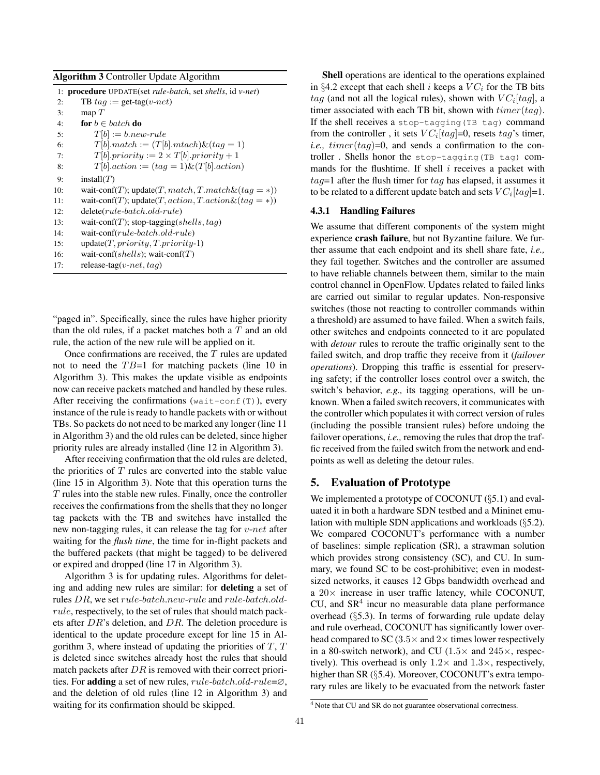Algorithm 3 Controller Update Algorithm

|     | 1: <b>procedure</b> UPDATE(set <i>rule-batch</i> , set <i>shells</i> , id <i>v-net</i> ) |
|-----|------------------------------------------------------------------------------------------|
| 2:  | TB $taq :=$ get-tag(v-net)                                                               |
| 3:  | map $T$                                                                                  |
| 4:  | for $b \in batch$ do                                                                     |
| 5:  | $T[b] := b.new-rule$                                                                     |
| 6:  | $T[b].match := (T[b].match) \& (tag = 1)$                                                |
| 7:  | $T[b].priority := 2 \times T[b].priority + 1$                                            |
| 8:  | $T[b].action := (tag = 1) \& (T[b].action)$                                              |
| 9:  | install $(T)$                                                                            |
| 10: | wait-conf(T); update(T, match, T.match & $(taq = *)$ )                                   |
| 11: | wait-conf(T); update(T, $action, T. action \& (tag = *)$ )                               |
| 12: | $delete(rule-batch. old-rule)$                                                           |
| 13: | wait-conf(T); stop-tagging(shells, taq)                                                  |
| 14: | wait-conf(rule-batch.old-rule)                                                           |
| 15: | $update(T, priority, T. priority-1)$                                                     |
| 16: | wait-conf(shells); wait-conf(T)                                                          |
| 17: | release-tag( <i>v-net</i> , tag)                                                         |

"paged in". Specifically, since the rules have higher priority than the old rules, if a packet matches both a  $T$  and an old rule, the action of the new rule will be applied on it.

Once confirmations are received, the  $T$  rules are updated not to need the  $TB=1$  for matching packets (line 10 in Algorithm 3). This makes the update visible as endpoints now can receive packets matched and handled by these rules. After receiving the confirmations (wait-conf $(T)$ ), every instance of the rule is ready to handle packets with or without TBs. So packets do not need to be marked any longer (line 11 in Algorithm 3) and the old rules can be deleted, since higher priority rules are already installed (line 12 in Algorithm 3).

After receiving confirmation that the old rules are deleted, the priorities of  $T$  rules are converted into the stable value (line 15 in Algorithm 3). Note that this operation turns the T rules into the stable new rules. Finally, once the controller receives the confirmations from the shells that they no longer tag packets with the TB and switches have installed the new non-tagging rules, it can release the tag for  $v$ -net after waiting for the *flush time*, the time for in-flight packets and the buffered packets (that might be tagged) to be delivered or expired and dropped (line 17 in Algorithm 3).

Algorithm 3 is for updating rules. Algorithms for deleting and adding new rules are similar: for deleting a set of rules DR, we set rule-batch.new-rule and rule-batch.oldrule, respectively, to the set of rules that should match packets after DR's deletion, and DR. The deletion procedure is identical to the update procedure except for line 15 in Algorithm 3, where instead of updating the priorities of  $T$ ,  $T$ is deleted since switches already host the rules that should match packets after  $DR$  is removed with their correct priorities. For **adding** a set of new rules, *rule-batch.old-rule*= $\varnothing$ , and the deletion of old rules (line 12 in Algorithm 3) and waiting for its confirmation should be skipped.

Shell operations are identical to the operations explained in §4.2 except that each shell i keeps a  $VC<sub>i</sub>$  for the TB bits  $tag$  (and not all the logical rules), shown with  $VC<sub>i</sub>[tag]$ , a timer associated with each TB bit, shown with  $timer(tag)$ . If the shell receives a stop-tagging(TB tag) command from the controller, it sets  $VC<sub>i</sub>[tag]=0$ , resets  $tag's$  timer, *i.e.,*  $timer(tag)=0$ , and sends a confirmation to the controller . Shells honor the stop-tagging(TB tag) commands for the flushtime. If shell  $i$  receives a packet with  $taq=1$  after the flush timer for  $taq$  has elapsed, it assumes it to be related to a different update batch and sets  $VC_i[tag]\text{=}1.$ 

#### 4.3.1 Handling Failures

We assume that different components of the system might experience crash failure, but not Byzantine failure. We further assume that each endpoint and its shell share fate, *i.e.,* they fail together. Switches and the controller are assumed to have reliable channels between them, similar to the main control channel in OpenFlow. Updates related to failed links are carried out similar to regular updates. Non-responsive switches (those not reacting to controller commands within a threshold) are assumed to have failed. When a switch fails, other switches and endpoints connected to it are populated with *detour* rules to reroute the traffic originally sent to the failed switch, and drop traffic they receive from it (*failover operations*). Dropping this traffic is essential for preserving safety; if the controller loses control over a switch, the switch's behavior, *e.g.,* its tagging operations, will be unknown. When a failed switch recovers, it communicates with the controller which populates it with correct version of rules (including the possible transient rules) before undoing the failover operations, *i.e.,* removing the rules that drop the traffic received from the failed switch from the network and endpoints as well as deleting the detour rules.

# 5. Evaluation of Prototype

We implemented a prototype of COCONUT (§5.1) and evaluated it in both a hardware SDN testbed and a Mininet emulation with multiple SDN applications and workloads (§5.2). We compared COCONUT's performance with a number of baselines: simple replication (SR), a strawman solution which provides strong consistency (SC), and CU. In summary, we found SC to be cost-prohibitive; even in modestsized networks, it causes 12 Gbps bandwidth overhead and a  $20 \times$  increase in user traffic latency, while COCONUT, CU, and  $SR<sup>4</sup>$  incur no measurable data plane performance overhead (§5.3). In terms of forwarding rule update delay and rule overhead, COCONUT has significantly lower overhead compared to SC (3.5 $\times$  and 2 $\times$  times lower respectively in a 80-switch network), and CU ( $1.5 \times$  and  $245 \times$ , respectively). This overhead is only  $1.2 \times$  and  $1.3 \times$ , respectively, higher than SR (§5.4). Moreover, COCONUT's extra temporary rules are likely to be evacuated from the network faster

<sup>4</sup> Note that CU and SR do not guarantee observational correctness.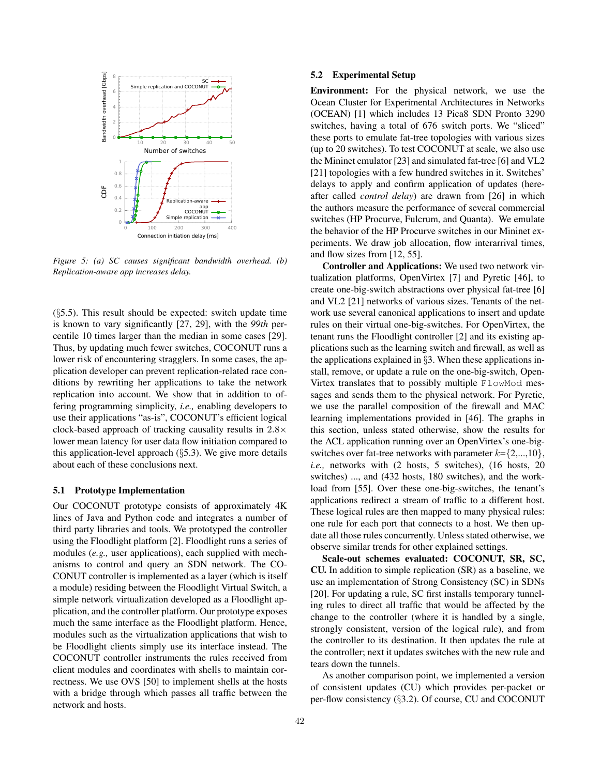

*Figure 5: (a) SC causes significant bandwidth overhead. (b) Replication-aware app increases delay.*

(§5.5). This result should be expected: switch update time is known to vary significantly [27, 29], with the *99th* percentile 10 times larger than the median in some cases [29]. Thus, by updating much fewer switches, COCONUT runs a lower risk of encountering stragglers. In some cases, the application developer can prevent replication-related race conditions by rewriting her applications to take the network replication into account. We show that in addition to offering programming simplicity, *i.e.,* enabling developers to use their applications "as-is", COCONUT's efficient logical clock-based approach of tracking causality results in 2.8× lower mean latency for user data flow initiation compared to this application-level approach  $(\S 5.3)$ . We give more details about each of these conclusions next.

### 5.1 Prototype Implementation

Our COCONUT prototype consists of approximately 4K lines of Java and Python code and integrates a number of third party libraries and tools. We prototyped the controller using the Floodlight platform [2]. Floodlight runs a series of modules (*e.g.*, user applications), each supplied with mechanisms to control and query an SDN network. The CO-CONUT controller is implemented as a layer (which is itself a module) residing between the Floodlight Virtual Switch, a simple network virtualization developed as a Floodlight application, and the controller platform. Our prototype exposes much the same interface as the Floodlight platform. Hence, modules such as the virtualization applications that wish to be Floodlight clients simply use its interface instead. The COCONUT controller instruments the rules received from client modules and coordinates with shells to maintain correctness. We use OVS [50] to implement shells at the hosts with a bridge through which passes all traffic between the network and hosts.

## 5.2 Experimental Setup

Environment: For the physical network, we use the Ocean Cluster for Experimental Architectures in Networks (OCEAN) [1] which includes 13 Pica8 SDN Pronto 3290 switches, having a total of 676 switch ports. We "sliced" these ports to emulate fat-tree topologies with various sizes (up to 20 switches). To test COCONUT at scale, we also use the Mininet emulator [23] and simulated fat-tree [6] and VL2 [21] topologies with a few hundred switches in it. Switches' delays to apply and confirm application of updates (hereafter called *control delay*) are drawn from [26] in which the authors measure the performance of several commercial switches (HP Procurve, Fulcrum, and Quanta). We emulate the behavior of the HP Procurve switches in our Mininet experiments. We draw job allocation, flow interarrival times, and flow sizes from [12, 55].

Controller and Applications: We used two network virtualization platforms, OpenVirtex [7] and Pyretic [46], to create one-big-switch abstractions over physical fat-tree [6] and VL2 [21] networks of various sizes. Tenants of the network use several canonical applications to insert and update rules on their virtual one-big-switches. For OpenVirtex, the tenant runs the Floodlight controller [2] and its existing applications such as the learning switch and firewall, as well as the applications explained in §3. When these applications install, remove, or update a rule on the one-big-switch, Open-Virtex translates that to possibly multiple FlowMod messages and sends them to the physical network. For Pyretic, we use the parallel composition of the firewall and MAC learning implementations provided in [46]. The graphs in this section, unless stated otherwise, show the results for the ACL application running over an OpenVirtex's one-bigswitches over fat-tree networks with parameter  $k=\{2,...,10\}$ , *i.e.,* networks with (2 hosts, 5 switches), (16 hosts, 20 switches) ..., and (432 hosts, 180 switches), and the workload from [55]. Over these one-big-switches, the tenant's applications redirect a stream of traffic to a different host. These logical rules are then mapped to many physical rules: one rule for each port that connects to a host. We then update all those rules concurrently. Unless stated otherwise, we observe similar trends for other explained settings.

Scale-out schemes evaluated: COCONUT, SR, SC, CU. In addition to simple replication (SR) as a baseline, we use an implementation of Strong Consistency (SC) in SDNs [20]. For updating a rule, SC first installs temporary tunneling rules to direct all traffic that would be affected by the change to the controller (where it is handled by a single, strongly consistent, version of the logical rule), and from the controller to its destination. It then updates the rule at the controller; next it updates switches with the new rule and tears down the tunnels.

As another comparison point, we implemented a version of consistent updates (CU) which provides per-packet or per-flow consistency (§3.2). Of course, CU and COCONUT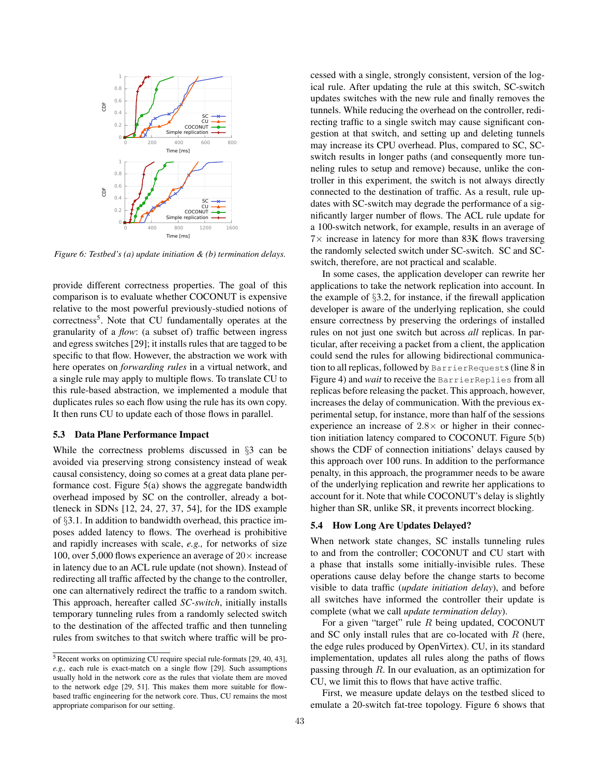

*Figure 6: Testbed's (a) update initiation & (b) termination delays.*

provide different correctness properties. The goal of this comparison is to evaluate whether COCONUT is expensive relative to the most powerful previously-studied notions of correctness<sup>5</sup>. Note that CU fundamentally operates at the granularity of a *flow*: (a subset of) traffic between ingress and egress switches [29]; it installs rules that are tagged to be specific to that flow. However, the abstraction we work with here operates on *forwarding rules* in a virtual network, and a single rule may apply to multiple flows. To translate CU to this rule-based abstraction, we implemented a module that duplicates rules so each flow using the rule has its own copy. It then runs CU to update each of those flows in parallel.

#### 5.3 Data Plane Performance Impact

While the correctness problems discussed in §3 can be avoided via preserving strong consistency instead of weak causal consistency, doing so comes at a great data plane performance cost. Figure 5(a) shows the aggregate bandwidth overhead imposed by SC on the controller, already a bottleneck in SDNs [12, 24, 27, 37, 54], for the IDS example of §3.1. In addition to bandwidth overhead, this practice imposes added latency to flows. The overhead is prohibitive and rapidly increases with scale, *e.g.,* for networks of size 100, over 5,000 flows experience an average of  $20\times$  increase in latency due to an ACL rule update (not shown). Instead of redirecting all traffic affected by the change to the controller, one can alternatively redirect the traffic to a random switch. This approach, hereafter called *SC-switch*, initially installs temporary tunneling rules from a randomly selected switch to the destination of the affected traffic and then tunneling rules from switches to that switch where traffic will be processed with a single, strongly consistent, version of the logical rule. After updating the rule at this switch, SC-switch updates switches with the new rule and finally removes the tunnels. While reducing the overhead on the controller, redirecting traffic to a single switch may cause significant congestion at that switch, and setting up and deleting tunnels may increase its CPU overhead. Plus, compared to SC, SCswitch results in longer paths (and consequently more tunneling rules to setup and remove) because, unlike the controller in this experiment, the switch is not always directly connected to the destination of traffic. As a result, rule updates with SC-switch may degrade the performance of a significantly larger number of flows. The ACL rule update for a 100-switch network, for example, results in an average of  $7\times$  increase in latency for more than 83K flows traversing the randomly selected switch under SC-switch. SC and SCswitch, therefore, are not practical and scalable.

In some cases, the application developer can rewrite her applications to take the network replication into account. In the example of §3.2, for instance, if the firewall application developer is aware of the underlying replication, she could ensure correctness by preserving the orderings of installed rules on not just one switch but across *all* replicas. In particular, after receiving a packet from a client, the application could send the rules for allowing bidirectional communication to all replicas, followed by BarrierRequests (line 8 in Figure 4) and *wait* to receive the BarrierReplies from all replicas before releasing the packet. This approach, however, increases the delay of communication. With the previous experimental setup, for instance, more than half of the sessions experience an increase of  $2.8\times$  or higher in their connection initiation latency compared to COCONUT. Figure 5(b) shows the CDF of connection initiations' delays caused by this approach over 100 runs. In addition to the performance penalty, in this approach, the programmer needs to be aware of the underlying replication and rewrite her applications to account for it. Note that while COCONUT's delay is slightly higher than SR, unlike SR, it prevents incorrect blocking.

#### 5.4 How Long Are Updates Delayed?

When network state changes, SC installs tunneling rules to and from the controller; COCONUT and CU start with a phase that installs some initially-invisible rules. These operations cause delay before the change starts to become visible to data traffic (*update initiation delay*), and before all switches have informed the controller their update is complete (what we call *update termination delay*).

For a given "target" rule  $R$  being updated, COCONUT and SC only install rules that are co-located with  $R$  (here, the edge rules produced by OpenVirtex). CU, in its standard implementation, updates all rules along the paths of flows passing through R. In our evaluation, as an optimization for CU, we limit this to flows that have active traffic.

First, we measure update delays on the testbed sliced to emulate a 20-switch fat-tree topology. Figure 6 shows that

<sup>5</sup> Recent works on optimizing CU require special rule-formats [29, 40, 43], *e.g.,* each rule is exact-match on a single flow [29]. Such assumptions usually hold in the network core as the rules that violate them are moved to the network edge [29, 51]. This makes them more suitable for flowbased traffic engineering for the network core. Thus, CU remains the most appropriate comparison for our setting.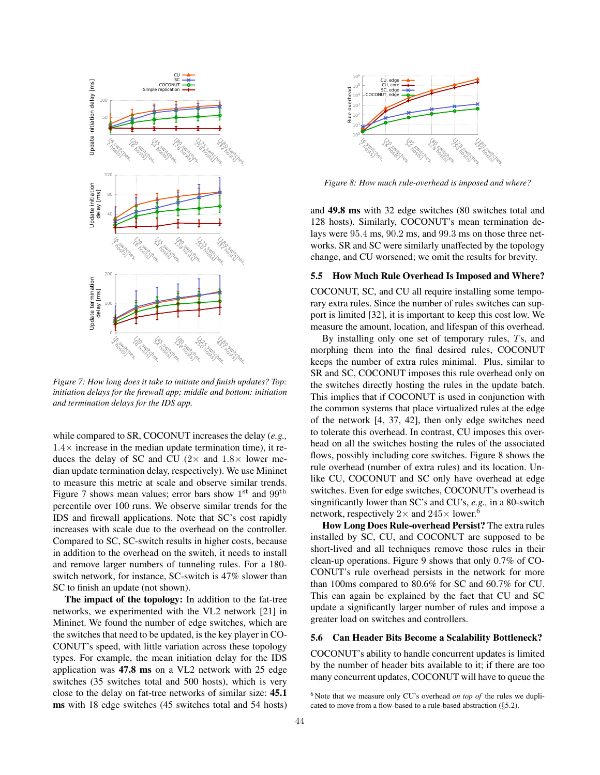

*Figure 7: How long does it take to initiate and finish updates? Top: initiation delays for the firewall app; middle and bottom: initiation and termination delays for the IDS app.*

while compared to SR, COCONUT increases the delay (*e.g.,*  $1.4\times$  increase in the median update termination time), it reduces the delay of SC and CU  $(2 \times$  and  $1.8 \times$  lower median update termination delay, respectively). We use Mininet to measure this metric at scale and observe similar trends. Figure 7 shows mean values; error bars show  $1<sup>st</sup>$  and  $99<sup>th</sup>$ percentile over 100 runs. We observe similar trends for the IDS and firewall applications. Note that SC's cost rapidly increases with scale due to the overhead on the controller. Compared to SC, SC-switch results in higher costs, because in addition to the overhead on the switch, it needs to install and remove larger numbers of tunneling rules. For a 180 switch network, for instance, SC-switch is 47% slower than SC to finish an update (not shown).

The impact of the topology: In addition to the fat-tree networks, we experimented with the VL2 network [21] in Mininet. We found the number of edge switches, which are the switches that need to be updated, is the key player in CO-CONUT's speed, with little variation across these topology types. For example, the mean initiation delay for the IDS application was 47.8 ms on a VL2 network with 25 edge switches (35 switches total and 500 hosts), which is very close to the delay on fat-tree networks of similar size: 45.1



*Figure 8: How much rule-overhead is imposed and where?*

and 49.8 ms with 32 edge switches (80 switches total and 128 hosts). Similarly, COCONUT's mean termination delays were 95.4 ms, 90.2 ms, and 99.3 ms on those three networks. SR and SC were similarly unaffected by the topology change, and CU worsened; we omit the results for brevity.

#### 5.5 How Much Rule Overhead Is Imposed and Where?

COCONUT, SC, and CU all require installing some temporary extra rules. Since the number of rules switches can support is limited [32], it is important to keep this cost low. We measure the amount, location, and lifespan of this overhead.

By installing only one set of temporary rules, Ts, and morphing them into the final desired rules, COCONUT keeps the number of extra rules minimal. Plus, similar to SR and SC, COCONUT imposes this rule overhead only on the switches directly hosting the rules in the update batch. This implies that if COCONUT is used in conjunction with the common systems that place virtualized rules at the edge of the network [4, 37, 42], then only edge switches need to tolerate this overhead. In contrast, CU imposes this overhead on all the switches hosting the rules of the associated flows, possibly including core switches. Figure 8 shows the rule overhead (number of extra rules) and its location. Unlike CU, COCONUT and SC only have overhead at edge switches. Even for edge switches, COCONUT's overhead is singnificantly lower than SC's and CU's, *e.g.,* in a 80-switch network, respectively  $2 \times$  and  $245 \times$  lower.<sup>6</sup>

How Long Does Rule-overhead Persist? The extra rules installed by SC, CU, and COCONUT are supposed to be short-lived and all techniques remove those rules in their clean-up operations. Figure 9 shows that only 0.7% of CO-CONUT's rule overhead persists in the network for more than 100ms compared to 80.6% for SC and 60.7% for CU. This can again be explained by the fact that CU and SC update a significantly larger number of rules and impose a greater load on switches and controllers.

#### 5.6 Can Header Bits Become a Scalability Bottleneck?

COCONUT's ability to handle concurrent updates is limited by the number of header bits available to it; if there are too many concurrent updates, COCONUT will have to queue the

<sup>6</sup> Note that we measure only CU's overhead *on top of* the rules we duplicated to move from a flow-based to a rule-based abstraction (§5.2).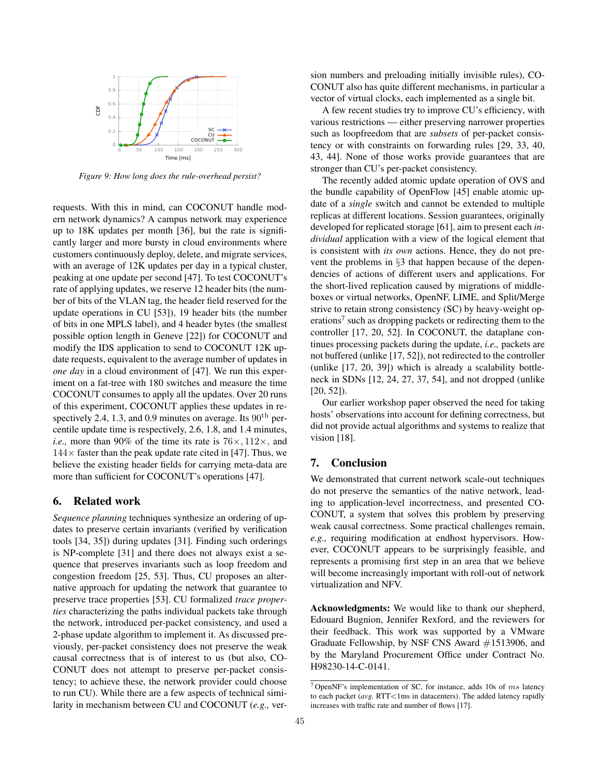

*Figure 9: How long does the rule-overhead persist?*

requests. With this in mind, can COCONUT handle modern network dynamics? A campus network may experience up to 18K updates per month [36], but the rate is significantly larger and more bursty in cloud environments where customers continuously deploy, delete, and migrate services, with an average of  $12K$  updates per day in a typical cluster, peaking at one update per second [47]. To test COCONUT's rate of applying updates, we reserve 12 header bits (the number of bits of the VLAN tag, the header field reserved for the update operations in CU [53]), 19 header bits (the number of bits in one MPLS label), and 4 header bytes (the smallest possible option length in Geneve [22]) for COCONUT and modify the IDS application to send to COCONUT 12K update requests, equivalent to the average number of updates in *one day* in a cloud environment of [47]. We run this experiment on a fat-tree with 180 switches and measure the time COCONUT consumes to apply all the updates. Over 20 runs of this experiment, COCONUT applies these updates in respectively 2.4, 1.3, and 0.9 minutes on average. Its  $90<sup>th</sup>$  percentile update time is respectively, 2.6, 1.8, and 1.4 minutes, *i.e.*, more than 90% of the time its rate is  $76\times, 112\times$ , and  $144\times$  faster than the peak update rate cited in [47]. Thus, we believe the existing header fields for carrying meta-data are more than sufficient for COCONUT's operations [47].

## 6. Related work

*Sequence planning* techniques synthesize an ordering of updates to preserve certain invariants (verified by verification tools [34, 35]) during updates [31]. Finding such orderings is NP-complete [31] and there does not always exist a sequence that preserves invariants such as loop freedom and congestion freedom [25, 53]. Thus, CU proposes an alternative approach for updating the network that guarantee to preserve trace properties [53]. CU formalized *trace properties* characterizing the paths individual packets take through the network, introduced per-packet consistency, and used a 2-phase update algorithm to implement it. As discussed previously, per-packet consistency does not preserve the weak causal correctness that is of interest to us (but also, CO-CONUT does not attempt to preserve per-packet consistency; to achieve these, the network provider could choose to run CU). While there are a few aspects of technical similarity in mechanism between CU and COCONUT (*e.g.,* version numbers and preloading initially invisible rules), CO-CONUT also has quite different mechanisms, in particular a vector of virtual clocks, each implemented as a single bit.

A few recent studies try to improve CU's efficiency, with various restrictions — either preserving narrower properties such as loopfreedom that are *subsets* of per-packet consistency or with constraints on forwarding rules [29, 33, 40, 43, 44]. None of those works provide guarantees that are stronger than CU's per-packet consistency.

The recently added atomic update operation of OVS and the bundle capability of OpenFlow [45] enable atomic update of a *single* switch and cannot be extended to multiple replicas at different locations. Session guarantees, originally developed for replicated storage [61], aim to present each *individual* application with a view of the logical element that is consistent with *its own* actions. Hence, they do not prevent the problems in §3 that happen because of the dependencies of actions of different users and applications. For the short-lived replication caused by migrations of middleboxes or virtual networks, OpenNF, LIME, and Split/Merge strive to retain strong consistency (SC) by heavy-weight operations<sup>7</sup> such as dropping packets or redirecting them to the controller [17, 20, 52]. In COCONUT, the dataplane continues processing packets during the update, *i.e.,* packets are not buffered (unlike [17, 52]), not redirected to the controller (unlike [17, 20, 39]) which is already a scalability bottleneck in SDNs [12, 24, 27, 37, 54], and not dropped (unlike [20, 52]).

Our earlier workshop paper observed the need for taking hosts' observations into account for defining correctness, but did not provide actual algorithms and systems to realize that vision [18].

# 7. Conclusion

We demonstrated that current network scale-out techniques do not preserve the semantics of the native network, leading to application-level incorrectness, and presented CO-CONUT, a system that solves this problem by preserving weak causal correctness. Some practical challenges remain, *e.g.,* requiring modification at endhost hypervisors. However, COCONUT appears to be surprisingly feasible, and represents a promising first step in an area that we believe will become increasingly important with roll-out of network virtualization and NFV.

Acknowledgments: We would like to thank our shepherd, Edouard Bugnion, Jennifer Rexford, and the reviewers for their feedback. This work was supported by a VMware Graduate Fellowship, by NSF CNS Award #1513906, and by the Maryland Procurement Office under Contract No. H98230-14-C-0141.

 $7$  OpenNF's implementation of SC, for instance, adds 10s of  $ms$  latency to each packet (*avg.* RTT<1ms in datacenters). The added latency rapidly increases with traffic rate and number of flows [17].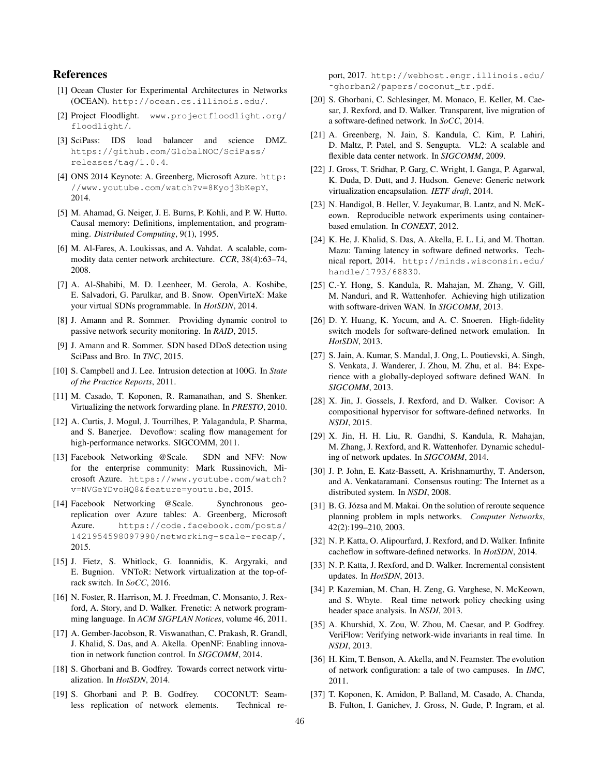## References

- [1] Ocean Cluster for Experimental Architectures in Networks (OCEAN). http://ocean.cs.illinois.edu/.
- [2] Project Floodlight. www.projectfloodlight.org/ floodlight/.
- [3] SciPass: IDS load balancer and science DMZ. https://github.com/GlobalNOC/SciPass/ releases/tag/1.0.4.
- [4] ONS 2014 Keynote: A. Greenberg, Microsoft Azure. http: //www.youtube.com/watch?v=8Kyoj3bKepY, 2014.
- [5] M. Ahamad, G. Neiger, J. E. Burns, P. Kohli, and P. W. Hutto. Causal memory: Definitions, implementation, and programming. *Distributed Computing*, 9(1), 1995.
- [6] M. Al-Fares, A. Loukissas, and A. Vahdat. A scalable, commodity data center network architecture. *CCR*, 38(4):63–74, 2008.
- [7] A. Al-Shabibi, M. D. Leenheer, M. Gerola, A. Koshibe, E. Salvadori, G. Parulkar, and B. Snow. OpenVirteX: Make your virtual SDNs programmable. In *HotSDN*, 2014.
- [8] J. Amann and R. Sommer. Providing dynamic control to passive network security monitoring. In *RAID*, 2015.
- [9] J. Amann and R. Sommer. SDN based DDoS detection using SciPass and Bro. In *TNC*, 2015.
- [10] S. Campbell and J. Lee. Intrusion detection at 100G. In *State of the Practice Reports*, 2011.
- [11] M. Casado, T. Koponen, R. Ramanathan, and S. Shenker. Virtualizing the network forwarding plane. In *PRESTO*, 2010.
- [12] A. Curtis, J. Mogul, J. Tourrilhes, P. Yalagandula, P. Sharma, and S. Banerjee. Devoflow: scaling flow management for high-performance networks. SIGCOMM, 2011.
- [13] Facebook Networking @Scale. SDN and NFV: Now for the enterprise community: Mark Russinovich, Microsoft Azure. https://www.youtube.com/watch? v=NVGeYDvoHQ8&feature=youtu.be, 2015.
- [14] Facebook Networking @Scale. Synchronous georeplication over Azure tables: A. Greenberg, Microsoft Azure. https://code.facebook.com/posts/ 1421954598097990/networking-scale-recap/, 2015.
- [15] J. Fietz, S. Whitlock, G. Ioannidis, K. Argyraki, and E. Bugnion. VNToR: Network virtualization at the top-ofrack switch. In *SoCC*, 2016.
- [16] N. Foster, R. Harrison, M. J. Freedman, C. Monsanto, J. Rexford, A. Story, and D. Walker. Frenetic: A network programming language. In *ACM SIGPLAN Notices*, volume 46, 2011.
- [17] A. Gember-Jacobson, R. Viswanathan, C. Prakash, R. Grandl, J. Khalid, S. Das, and A. Akella. OpenNF: Enabling innovation in network function control. In *SIGCOMM*, 2014.
- [18] S. Ghorbani and B. Godfrey. Towards correct network virtualization. In *HotSDN*, 2014.
- [19] S. Ghorbani and P. B. Godfrey. COCONUT: Seamless replication of network elements. Technical re-

port, 2017. http://webhost.engr.illinois.edu/ ˜ghorban2/papers/coconut\_tr.pdf.

- [20] S. Ghorbani, C. Schlesinger, M. Monaco, E. Keller, M. Caesar, J. Rexford, and D. Walker. Transparent, live migration of a software-defined network. In *SoCC*, 2014.
- [21] A. Greenberg, N. Jain, S. Kandula, C. Kim, P. Lahiri, D. Maltz, P. Patel, and S. Sengupta. VL2: A scalable and flexible data center network. In *SIGCOMM*, 2009.
- [22] J. Gross, T. Sridhar, P. Garg, C. Wright, I. Ganga, P. Agarwal, K. Duda, D. Dutt, and J. Hudson. Geneve: Generic network virtualization encapsulation. *IETF draft*, 2014.
- [23] N. Handigol, B. Heller, V. Jeyakumar, B. Lantz, and N. McKeown. Reproducible network experiments using containerbased emulation. In *CONEXT*, 2012.
- [24] K. He, J. Khalid, S. Das, A. Akella, E. L. Li, and M. Thottan. Mazu: Taming latency in software defined networks. Technical report, 2014. http://minds.wisconsin.edu/ handle/1793/68830.
- [25] C.-Y. Hong, S. Kandula, R. Mahajan, M. Zhang, V. Gill, M. Nanduri, and R. Wattenhofer. Achieving high utilization with software-driven WAN. In *SIGCOMM*, 2013.
- [26] D. Y. Huang, K. Yocum, and A. C. Snoeren. High-fidelity switch models for software-defined network emulation. In *HotSDN*, 2013.
- [27] S. Jain, A. Kumar, S. Mandal, J. Ong, L. Poutievski, A. Singh, S. Venkata, J. Wanderer, J. Zhou, M. Zhu, et al. B4: Experience with a globally-deployed software defined WAN. In *SIGCOMM*, 2013.
- [28] X. Jin, J. Gossels, J. Rexford, and D. Walker. Covisor: A compositional hypervisor for software-defined networks. In *NSDI*, 2015.
- [29] X. Jin, H. H. Liu, R. Gandhi, S. Kandula, R. Mahajan, M. Zhang, J. Rexford, and R. Wattenhofer. Dynamic scheduling of network updates. In *SIGCOMM*, 2014.
- [30] J. P. John, E. Katz-Bassett, A. Krishnamurthy, T. Anderson, and A. Venkataramani. Consensus routing: The Internet as a distributed system. In *NSDI*, 2008.
- [31] B. G. Józsa and M. Makai. On the solution of reroute sequence planning problem in mpls networks. *Computer Networks*, 42(2):199–210, 2003.
- [32] N. P. Katta, O. Alipourfard, J. Rexford, and D. Walker. Infinite cacheflow in software-defined networks. In *HotSDN*, 2014.
- [33] N. P. Katta, J. Rexford, and D. Walker. Incremental consistent updates. In *HotSDN*, 2013.
- [34] P. Kazemian, M. Chan, H. Zeng, G. Varghese, N. McKeown, and S. Whyte. Real time network policy checking using header space analysis. In *NSDI*, 2013.
- [35] A. Khurshid, X. Zou, W. Zhou, M. Caesar, and P. Godfrey. VeriFlow: Verifying network-wide invariants in real time. In *NSDI*, 2013.
- [36] H. Kim, T. Benson, A. Akella, and N. Feamster. The evolution of network configuration: a tale of two campuses. In *IMC*, 2011.
- [37] T. Koponen, K. Amidon, P. Balland, M. Casado, A. Chanda, B. Fulton, I. Ganichev, J. Gross, N. Gude, P. Ingram, et al.